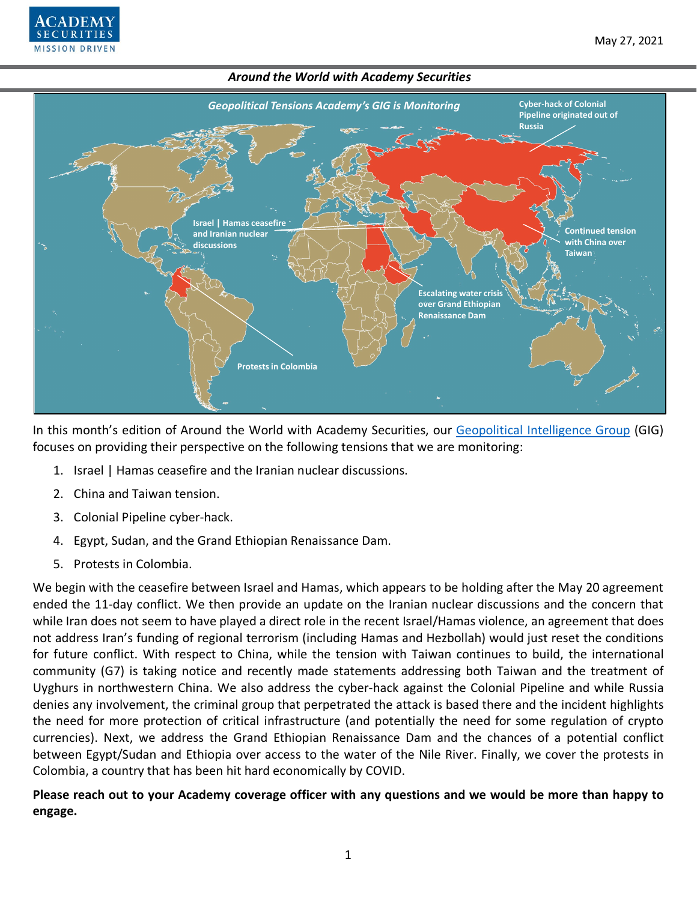



In this month's edition of Around the World with Academy Securities, our [Geopolitical Intelligence Group](https://www.academysecurities.com/geopolitical/geopolitical-intelligence-group/) (GIG) focuses on providing their perspective on the following tensions that we are monitoring:

- 1. Israel | Hamas ceasefire and the Iranian nuclear discussions.
- 2. China and Taiwan tension.
- 3. Colonial Pipeline cyber-hack.
- 4. Egypt, Sudan, and the Grand Ethiopian Renaissance Dam.
- 5. Protests in Colombia.

We begin with the ceasefire between Israel and Hamas, which appears to be holding after the May 20 agreement ended the 11-day conflict. We then provide an update on the Iranian nuclear discussions and the concern that while Iran does not seem to have played a direct role in the recent Israel/Hamas violence, an agreement that does not address Iran's funding of regional terrorism (including Hamas and Hezbollah) would just reset the conditions for future conflict. With respect to China, while the tension with Taiwan continues to build, the international community (G7) is taking notice and recently made statements addressing both Taiwan and the treatment of Uyghurs in northwestern China. We also address the cyber-hack against the Colonial Pipeline and while Russia denies any involvement, the criminal group that perpetrated the attack is based there and the incident highlights the need for more protection of critical infrastructure (and potentially the need for some regulation of crypto currencies). Next, we address the Grand Ethiopian Renaissance Dam and the chances of a potential conflict between Egypt/Sudan and Ethiopia over access to the water of the Nile River. Finally, we cover the protests in Colombia, a country that has been hit hard economically by COVID.

**Please reach out to your Academy coverage officer with any questions and we would be more than happy to engage.**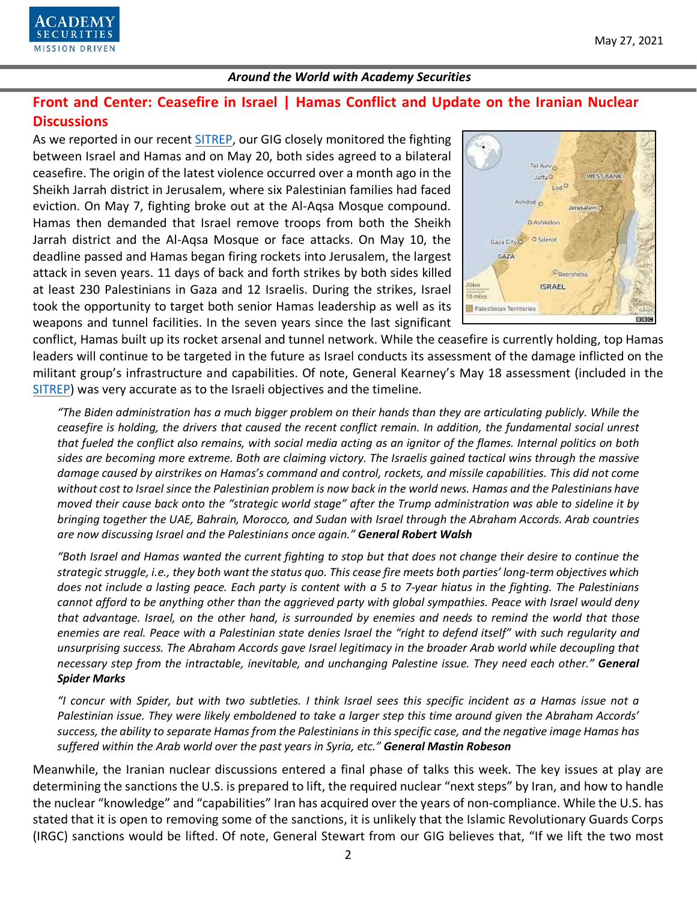

## **Front and Center: Ceasefire in Israel | Hamas Conflict and Update on the Iranian Nuclear Discussions**

As we reported in our recent [SITREP,](https://www.academysecurities.com/violence-in-gaza-and-its-regional-implications/) our GIG closely monitored the fighting between Israel and Hamas and on May 20, both sides agreed to a bilateral ceasefire. The origin of the latest violence occurred over a month ago in the Sheikh Jarrah district in Jerusalem, where six Palestinian families had faced eviction. On May 7, fighting broke out at the Al-Aqsa Mosque compound. Hamas then demanded that Israel remove troops from both the Sheikh Jarrah district and the Al-Aqsa Mosque or face attacks. On May 10, the deadline passed and Hamas began firing rockets into Jerusalem, the largest attack in seven years. 11 days of back and forth strikes by both sides killed at least 230 Palestinians in Gaza and 12 Israelis. During the strikes, Israel took the opportunity to target both senior Hamas leadership as well as its weapons and tunnel facilities. In the seven years since the last significant



conflict, Hamas built up its rocket arsenal and tunnel network. While the ceasefire is currently holding, top Hamas leaders will continue to be targeted in the future as Israel conducts its assessment of the damage inflicted on the militant group's infrastructure and capabilities. Of note, General Kearney's May 18 assessment (included in the [SITREP\)](https://www.academysecurities.com/violence-in-gaza-and-its-regional-implications/) was very accurate as to the Israeli objectives and the timeline.

*"The Biden administration has a much bigger problem on their hands than they are articulating publicly. While the ceasefire is holding, the drivers that caused the recent conflict remain. In addition, the fundamental social unrest that fueled the conflict also remains, with social media acting as an ignitor of the flames. Internal politics on both sides are becoming more extreme. Both are claiming victory. The Israelis gained tactical wins through the massive damage caused by airstrikes on Hamas's command and control, rockets, and missile capabilities. This did not come without cost to Israel since the Palestinian problem is now back in the world news. Hamas and the Palestinians have moved their cause back onto the "strategic world stage" after the Trump administration was able to sideline it by bringing together the UAE, Bahrain, Morocco, and Sudan with Israel through the Abraham Accords. Arab countries are now discussing Israel and the Palestinians once again." General Robert Walsh*

*"Both Israel and Hamas wanted the current fighting to stop but that does not change their desire to continue the strategic struggle, i.e., they both want the status quo. This cease fire meets both parties' long-term objectives which does not include a lasting peace. Each party is content with a 5 to 7-year hiatus in the fighting. The Palestinians cannot afford to be anything other than the aggrieved party with global sympathies. Peace with Israel would deny that advantage. Israel, on the other hand, is surrounded by enemies and needs to remind the world that those enemies are real. Peace with a Palestinian state denies Israel the "right to defend itself" with such regularity and unsurprising success. The Abraham Accords gave Israel legitimacy in the broader Arab world while decoupling that necessary step from the intractable, inevitable, and unchanging Palestine issue. They need each other." General Spider Marks*

*"I concur with Spider, but with two subtleties. I think Israel sees this specific incident as a Hamas issue not a Palestinian issue. They were likely emboldened to take a larger step this time around given the Abraham Accords' success, the ability to separate Hamas from the Palestinians in this specific case, and the negative image Hamas has suffered within the Arab world over the past years in Syria, etc." General Mastin Robeson*

Meanwhile, the Iranian nuclear discussions entered a final phase of talks this week. The key issues at play are determining the sanctions the U.S. is prepared to lift, the required nuclear "next steps" by Iran, and how to handle the nuclear "knowledge" and "capabilities" Iran has acquired over the years of non-compliance. While the U.S. has stated that it is open to removing some of the sanctions, it is unlikely that the Islamic Revolutionary Guards Corps (IRGC) sanctions would be lifted. Of note, General Stewart from our GIG believes that, "If we lift the two most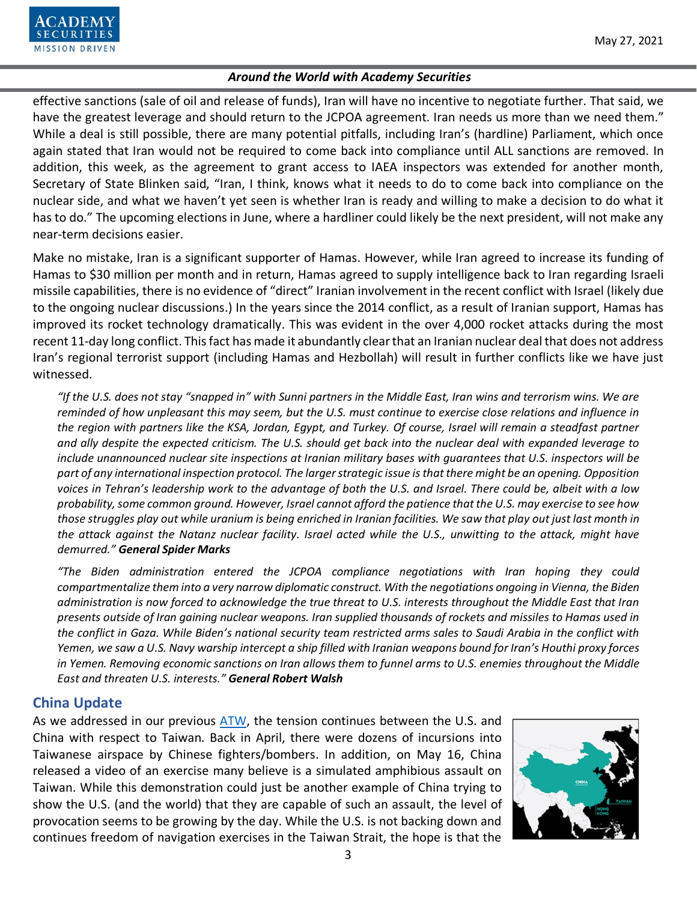effective sanctions (sale of oil and release of funds), Iran will have no incentive to negotiate further. That said, we have the greatest leverage and should return to the JCPOA agreement. Iran needs us more than we need them." While a deal is still possible, there are many potential pitfalls, including Iran's (hardline) Parliament, which once again stated that Iran would not be required to come back into compliance until ALL sanctions are removed. In addition, this week, as the agreement to grant access to IAEA inspectors was extended for another month, Secretary of State Blinken said, "Iran, I think, knows what it needs to do to come back into compliance on the nuclear side, and what we haven't yet seen is whether Iran is ready and willing to make a decision to do what it has to do." The upcoming elections in June, where a hardliner could likely be the next president, will not make any near-term decisions easier.

Make no mistake, Iran is a significant supporter of Hamas. However, while Iran agreed to increase its funding of Hamas to \$30 million per month and in return, Hamas agreed to supply intelligence back to Iran regarding Israeli missile capabilities, there is no evidence of "direct" Iranian involvement in the recent conflict with Israel (likely due to the ongoing nuclear discussions.) In the years since the 2014 conflict, as a result of Iranian support, Hamas has improved its rocket technology dramatically. This was evident in the over 4,000 rocket attacks during the most recent 11-day long conflict. This fact has made it abundantly clear that an Iranian nuclear deal that does not address Iran's regional terrorist support (including Hamas and Hezbollah) will result in further conflicts like we have just witnessed.

*"If the U.S. does not stay "snapped in" with Sunni partners in the Middle East, Iran wins and terrorism wins. We are reminded of how unpleasant this may seem, but the U.S. must continue to exercise close relations and influence in the region with partners like the KSA, Jordan, Egypt, and Turkey. Of course, Israel will remain a steadfast partner and ally despite the expected criticism. The U.S. should get back into the nuclear deal with expanded leverage to include unannounced nuclear site inspections at Iranian military bases with guarantees that U.S. inspectors will be part of any international inspection protocol. The larger strategic issue is that there might be an opening. Opposition voices in Tehran's leadership work to the advantage of both the U.S. and Israel. There could be, albeit with a low probability, some common ground. However, Israel cannot afford the patience that the U.S. may exercise to see how those struggles play out while uranium is being enriched in Iranian facilities. We saw that play out just last month in the attack against the Natanz nuclear facility. Israel acted while the U.S., unwitting to the attack, might have demurred." General Spider Marks*

*"The Biden administration entered the JCPOA compliance negotiations with Iran hoping they could compartmentalize them into a very narrow diplomatic construct. With the negotiations ongoing in Vienna, the Biden administration is now forced to acknowledge the true threat to U.S. interests throughout the Middle East that Iran presents outside of Iran gaining nuclear weapons. Iran supplied thousands of rockets and missiles to Hamas used in the conflict in Gaza. While Biden's national security team restricted arms sales to Saudi Arabia in the conflict with Yemen, we saw a U.S. Navy warship intercept a ship filled with Iranian weapons bound for Iran's Houthi proxy forces in Yemen. Removing economic sanctions on Iran allows them to funnel arms to U.S. enemies throughout the Middle East and threaten U.S. interests." General Robert Walsh*

## **China Update**

As we addressed in our previous [ATW,](https://www.academysecurities.com/wordpress/wp-content/uploads/2021/04/Around-the-World-with-Academy-Securities_4-29-21-1.pdf) the tension continues between the U.S. and China with respect to Taiwan. Back in April, there were dozens of incursions into Taiwanese airspace by Chinese fighters/bombers. In addition, on May 16, China released a video of an exercise many believe is a simulated amphibious assault on Taiwan. While this demonstration could just be another example of China trying to show the U.S. (and the world) that they are capable of such an assault, the level of provocation seems to be growing by the day. While the U.S. is not backing down and continues freedom of navigation exercises in the Taiwan Strait, the hope is that the

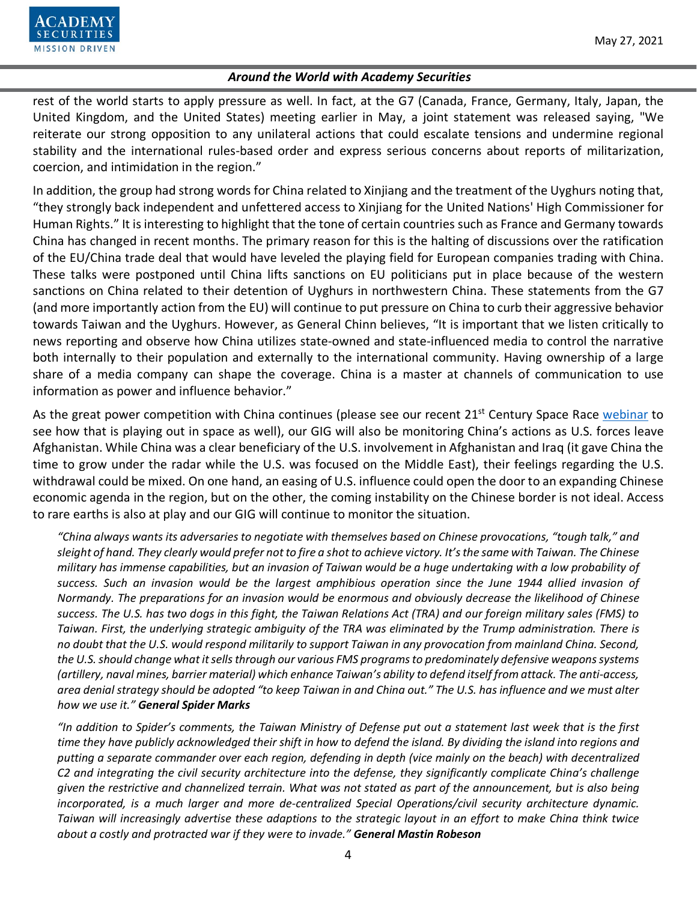

rest of the world starts to apply pressure as well. In fact, at the G7 (Canada, France, Germany, Italy, Japan, the United Kingdom, and the United States) meeting earlier in May, a joint statement was released saying, "We reiterate our strong opposition to any unilateral actions that could escalate tensions and undermine regional stability and the international rules-based order and express serious concerns about reports of militarization, coercion, and intimidation in the region."

In addition, the group had strong words for China related to Xinjiang and the treatment of the Uyghurs noting that, "they strongly back independent and unfettered access to Xinjiang for the United Nations' High Commissioner for Human Rights." It is interesting to highlight that the tone of certain countries such as France and Germany towards China has changed in recent months. The primary reason for this is the halting of discussions over the ratification of the EU/China trade deal that would have leveled the playing field for European companies trading with China. These talks were postponed until China lifts sanctions on EU politicians put in place because of the western sanctions on China related to their detention of Uyghurs in northwestern China. These statements from the G7 (and more importantly action from the EU) will continue to put pressure on China to curb their aggressive behavior towards Taiwan and the Uyghurs. However, as General Chinn believes, "It is important that we listen critically to news reporting and observe how China utilizes state-owned and state-influenced media to control the narrative both internally to their population and externally to the international community. Having ownership of a large share of a media company can shape the coverage. China is a master at channels of communication to use information as power and influence behavior."

As the great power competition with China continues (please see our recent 21<sup>st</sup> Century Space Race [webinar](https://www.youtube.com/watch?v=RlN1GX_H-eo) to see how that is playing out in space as well), our GIG will also be monitoring China's actions as U.S. forces leave Afghanistan. While China was a clear beneficiary of the U.S. involvement in Afghanistan and Iraq (it gave China the time to grow under the radar while the U.S. was focused on the Middle East), their feelings regarding the U.S. withdrawal could be mixed. On one hand, an easing of U.S. influence could open the door to an expanding Chinese economic agenda in the region, but on the other, the coming instability on the Chinese border is not ideal. Access to rare earths is also at play and our GIG will continue to monitor the situation.

*"China always wants its adversaries to negotiate with themselves based on Chinese provocations, "tough talk," and sleight of hand. They clearly would prefer not to fire a shot to achieve victory. It's the same with Taiwan. The Chinese military has immense capabilities, but an invasion of Taiwan would be a huge undertaking with a low probability of success. Such an invasion would be the largest amphibious operation since the June 1944 allied invasion of Normandy. The preparations for an invasion would be enormous and obviously decrease the likelihood of Chinese success. The U.S. has two dogs in this fight, the Taiwan Relations Act (TRA) and our foreign military sales (FMS) to Taiwan. First, the underlying strategic ambiguity of the TRA was eliminated by the Trump administration. There is no doubt that the U.S. would respond militarily to support Taiwan in any provocation from mainland China. Second, the U.S.should change what it sells through our various FMS programs to predominately defensive weapons systems (artillery, naval mines, barrier material) which enhance Taiwan's ability to defend itself from attack. The anti-access, area denial strategy should be adopted "to keep Taiwan in and China out." The U.S. has influence and we must alter how we use it." General Spider Marks*

*"In addition to Spider's comments, the Taiwan Ministry of Defense put out a statement last week that is the first time they have publicly acknowledged their shift in how to defend the island. By dividing the island into regions and putting a separate commander over each region, defending in depth (vice mainly on the beach) with decentralized C2 and integrating the civil security architecture into the defense, they significantly complicate China's challenge given the restrictive and channelized terrain. What was not stated as part of the announcement, but is also being incorporated, is a much larger and more de-centralized Special Operations/civil security architecture dynamic. Taiwan will increasingly advertise these adaptions to the strategic layout in an effort to make China think twice about a costly and protracted war if they were to invade." General Mastin Robeson*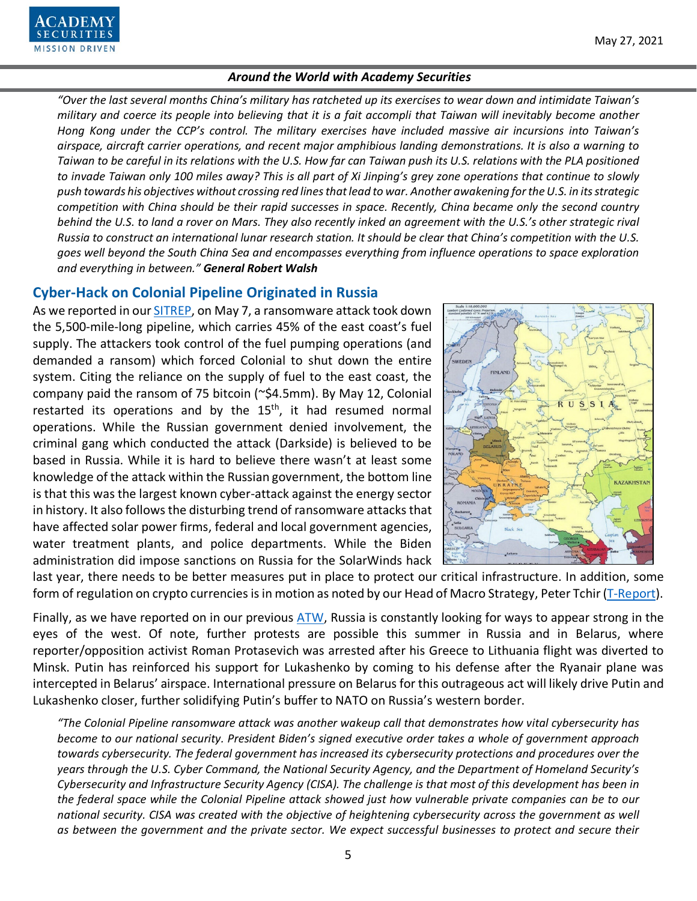# ECURITIES **MISSION DRIVEN**

#### *Around the World with Academy Securities*

*"Over the last several months China's military has ratcheted up its exercises to wear down and intimidate Taiwan's military and coerce its people into believing that it is a fait accompli that Taiwan will inevitably become another Hong Kong under the CCP's control. The military exercises have included massive air incursions into Taiwan's airspace, aircraft carrier operations, and recent major amphibious landing demonstrations. It is also a warning to Taiwan to be careful in its relations with the U.S. How far can Taiwan push its U.S. relations with the PLA positioned to invade Taiwan only 100 miles away? This is all part of Xi Jinping's grey zone operations that continue to slowly push towards his objectives without crossing red lines that lead to war. Another awakening for the U.S. in its strategic competition with China should be their rapid successes in space. Recently, China became only the second country behind the U.S. to land a rover on Mars. They also recently inked an agreement with the U.S.'s other strategic rival Russia to construct an international lunar research station. It should be clear that China's competition with the U.S. goes well beyond the South China Sea and encompasses everything from influence operations to space exploration and everything in between." General Robert Walsh*

#### **Cyber-Hack on Colonial Pipeline Originated in Russia**

As we reported in ou[r SITREP,](https://www.academysecurities.com/cyber-hack-on-u-s-infrastructure/) on May 7, a ransomware attack took down the 5,500-mile-long pipeline, which carries 45% of the east coast's fuel supply. The attackers took control of the fuel pumping operations (and demanded a ransom) which forced Colonial to shut down the entire system. Citing the reliance on the supply of fuel to the east coast, the company paid the ransom of 75 bitcoin (~\$4.5mm). By May 12, Colonial restarted its operations and by the  $15<sup>th</sup>$ , it had resumed normal operations. While the Russian government denied involvement, the criminal gang which conducted the attack (Darkside) is believed to be based in Russia. While it is hard to believe there wasn't at least some knowledge of the attack within the Russian government, the bottom line is that this was the largest known cyber-attack against the energy sector in history. It also follows the disturbing trend of ransomware attacks that have affected solar power firms, federal and local government agencies, water treatment plants, and police departments. While the Biden administration did impose sanctions on Russia for the SolarWinds hack



last year, there needs to be better measures put in place to protect our critical infrastructure. In addition, some form of regulation on crypto currencies is in motion as noted by our Head of Macro Strategy, Peter Tchir [\(T-Report\)](https://www.academysecurities.com/wordpress/wp-content/uploads/2021/05/The-Crypto-Plunge-A-Hack-Too-Far.pdf).

Finally, as we have reported on in our previous [ATW,](https://www.academysecurities.com/wordpress/wp-content/uploads/2021/04/Around-the-World-with-Academy-Securities_4-29-21-1.pdf) Russia is constantly looking for ways to appear strong in the eyes of the west. Of note, further protests are possible this summer in Russia and in Belarus, where reporter/opposition activist Roman Protasevich was arrested after his Greece to Lithuania flight was diverted to Minsk. Putin has reinforced his support for Lukashenko by coming to his defense after the Ryanair plane was intercepted in Belarus' airspace. International pressure on Belarus for this outrageous act will likely drive Putin and Lukashenko closer, further solidifying Putin's buffer to NATO on Russia's western border.

*"The Colonial Pipeline ransomware attack was another wakeup call that demonstrates how vital cybersecurity has become to our national security. President Biden's signed executive order takes a whole of government approach towards cybersecurity. The federal government has increased its cybersecurity protections and procedures over the years through the U.S. Cyber Command, the National Security Agency, and the Department of Homeland Security's Cybersecurity and Infrastructure Security Agency (CISA). The challenge is that most of this development has been in the federal space while the Colonial Pipeline attack showed just how vulnerable private companies can be to our national security. CISA was created with the objective of heightening cybersecurity across the government as well as between the government and the private sector. We expect successful businesses to protect and secure their*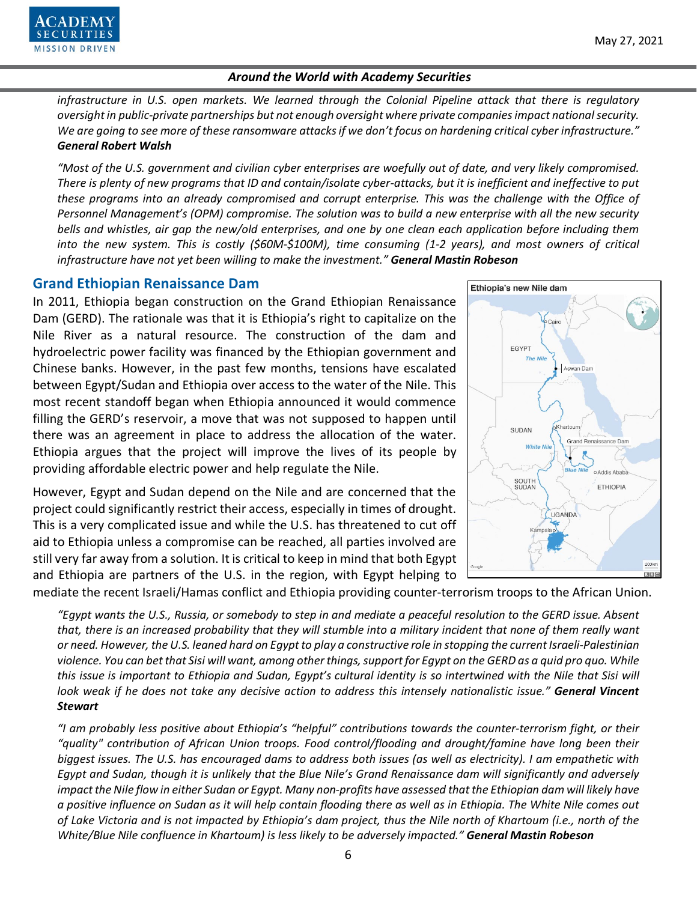

*infrastructure in U.S. open markets. We learned through the Colonial Pipeline attack that there is regulatory oversight in public-private partnerships but not enough oversight where private companies impact national security. We are going to see more of these ransomware attacks if we don't focus on hardening critical cyber infrastructure." General Robert Walsh*

*"Most of the U.S. government and civilian cyber enterprises are woefully out of date, and very likely compromised. There is plenty of new programs that ID and contain/isolate cyber-attacks, but it is inefficient and ineffective to put these programs into an already compromised and corrupt enterprise. This was the challenge with the Office of Personnel Management's (OPM) compromise. The solution was to build a new enterprise with all the new security bells and whistles, air gap the new/old enterprises, and one by one clean each application before including them into the new system. This is costly (\$60M-\$100M), time consuming (1-2 years), and most owners of critical infrastructure have not yet been willing to make the investment." General Mastin Robeson*

#### **Grand Ethiopian Renaissance Dam**

In 2011, Ethiopia began construction on the Grand Ethiopian Renaissance Dam (GERD). The rationale was that it is Ethiopia's right to capitalize on the Nile River as a natural resource. The construction of the dam and hydroelectric power facility was financed by the Ethiopian government and Chinese banks. However, in the past few months, tensions have escalated between Egypt/Sudan and Ethiopia over access to the water of the Nile. This most recent standoff began when Ethiopia announced it would commence filling the GERD's reservoir, a move that was not supposed to happen until there was an agreement in place to address the allocation of the water. Ethiopia argues that the project will improve the lives of its people by providing affordable electric power and help regulate the Nile.

However, Egypt and Sudan depend on the Nile and are concerned that the project could significantly restrict their access, especially in times of drought. This is a very complicated issue and while the U.S. has threatened to cut off aid to Ethiopia unless a compromise can be reached, all parties involved are still very far away from a solution. It is critical to keep in mind that both Egypt and Ethiopia are partners of the U.S. in the region, with Egypt helping to

Ethiopia's new Nile dam EGYPT **The Nile** Aswan Dam SUDAN Grand Renaissance Dam White 臾 o Addis Ababa SOUTH<br>SUDAN ETHIOPIA UGANDA npala o **BIBIC** 

mediate the recent Israeli/Hamas conflict and Ethiopia providing counter-terrorism troops to the African Union.

*"Egypt wants the U.S., Russia, or somebody to step in and mediate a peaceful resolution to the GERD issue. Absent that, there is an increased probability that they will stumble into a military incident that none of them really want or need. However, the U.S. leaned hard on Egypt to play a constructive role in stopping the current Israeli-Palestinian violence. You can bet that Sisi will want, among other things, support for Egypt on the GERD as a quid pro quo. While this issue is important to Ethiopia and Sudan, Egypt's cultural identity is so intertwined with the Nile that Sisi will look weak if he does not take any decisive action to address this intensely nationalistic issue." General Vincent Stewart*

*"I am probably less positive about Ethiopia's "helpful" contributions towards the counter-terrorism fight, or their "quality" contribution of African Union troops. Food control/flooding and drought/famine have long been their biggest issues. The U.S. has encouraged dams to address both issues (as well as electricity). I am empathetic with Egypt and Sudan, though it is unlikely that the Blue Nile's Grand Renaissance dam will significantly and adversely impact the Nile flow in either Sudan or Egypt. Many non-profits have assessed that the Ethiopian dam will likely have a positive influence on Sudan as it will help contain flooding there as well as in Ethiopia. The White Nile comes out of Lake Victoria and is not impacted by Ethiopia's dam project, thus the Nile north of Khartoum (i.e., north of the White/Blue Nile confluence in Khartoum) is less likely to be adversely impacted." General Mastin Robeson*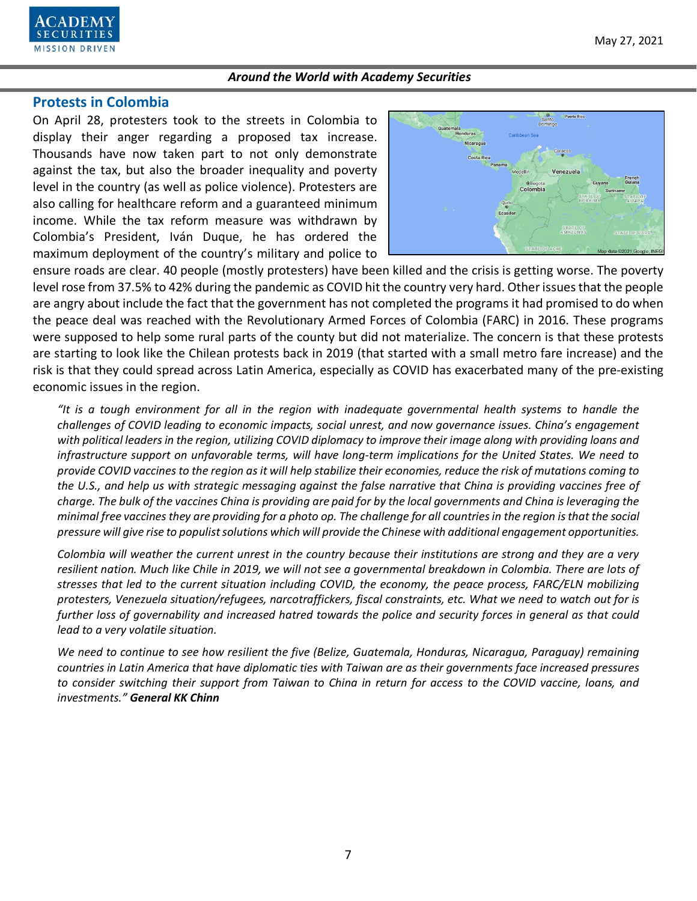

#### **Protests in Colombia**

On April 28, protesters took to the streets in Colombia to display their anger regarding a proposed tax increase. Thousands have now taken part to not only demonstrate against the tax, but also the broader inequality and poverty level in the country (as well as police violence). Protesters are also calling for healthcare reform and a guaranteed minimum income. While the tax reform measure was withdrawn by Colombia's President, Iván Duque, he has ordered the maximum deployment of the country's military and police to



ensure roads are clear. 40 people (mostly protesters) have been killed and the crisis is getting worse. The poverty level rose from 37.5% to 42% during the pandemic as COVID hit the country very hard. Other issues that the people are angry about include the fact that the government has not completed the programs it had promised to do when the peace deal was reached with the Revolutionary Armed Forces of Colombia (FARC) in 2016. These programs were supposed to help some rural parts of the county but did not materialize. The concern is that these protests are starting to look like the Chilean protests back in 2019 (that started with a small metro fare increase) and the risk is that they could spread across Latin America, especially as COVID has exacerbated many of the pre-existing economic issues in the region.

*"It is a tough environment for all in the region with inadequate governmental health systems to handle the challenges of COVID leading to economic impacts, social unrest, and now governance issues. China's engagement with political leaders in the region, utilizing COVID diplomacy to improve their image along with providing loans and infrastructure support on unfavorable terms, will have long-term implications for the United States. We need to provide COVID vaccines to the region as it will help stabilize their economies, reduce the risk of mutations coming to the U.S., and help us with strategic messaging against the false narrative that China is providing vaccines free of charge. The bulk of the vaccines China is providing are paid for by the local governments and China is leveraging the minimal free vaccines they are providing for a photo op. The challenge for all countries in the region is that the social pressure will give rise to populist solutions which will provide the Chinese with additional engagement opportunities.*

*Colombia will weather the current unrest in the country because their institutions are strong and they are a very resilient nation. Much like Chile in 2019, we will not see a governmental breakdown in Colombia. There are lots of stresses that led to the current situation including COVID, the economy, the peace process, FARC/ELN mobilizing protesters, Venezuela situation/refugees, narcotraffickers, fiscal constraints, etc. What we need to watch out for is further loss of governability and increased hatred towards the police and security forces in general as that could lead to a very volatile situation.*

*We need to continue to see how resilient the five (Belize, Guatemala, Honduras, Nicaragua, Paraguay) remaining countries in Latin America that have diplomatic ties with Taiwan are as their governments face increased pressures to consider switching their support from Taiwan to China in return for access to the COVID vaccine, loans, and investments." General KK Chinn*